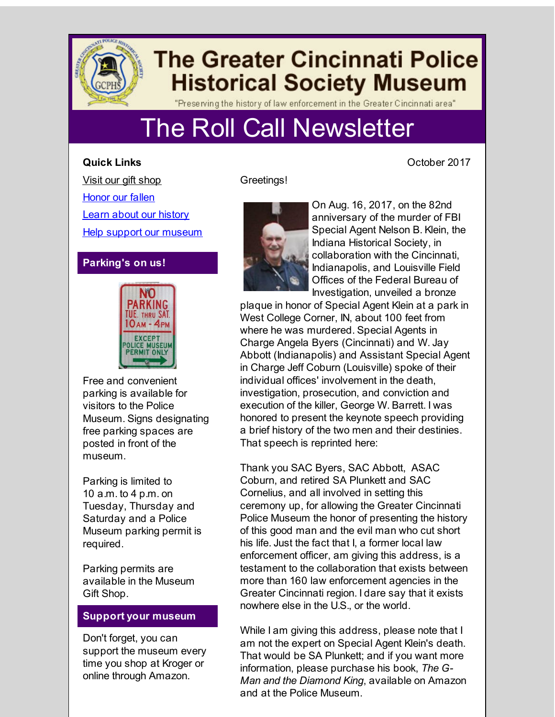

**Quick Links**

# **The Greater Cincinnati Police Historical Society Museum**

"Preserving the history of law enforcement in the Greater Cincinnati area"

# The Roll Call Newsletter

Visit our gift [shop](http://r20.rs6.net/tn.jsp?f=001dhsuzfXnhUuaJsuPq2PzCJ1nMigztno31clDyYqMIhdJYBEXHUa3lfyEhHi1oPQlbVgDw8yzFGefYL4XHjdepu9EAO2DJrcN3SOfOoKz4t_S-SmSa7ieV9EFqYM_SqFqs7g9vVHfQEipBUXnFKVt-mT5hDrqzj216vqQ2H8UFW6ceZIEJ0i92y8Sj2NvaU4L&c=&ch=) [Honor](http://r20.rs6.net/tn.jsp?f=001dhsuzfXnhUuaJsuPq2PzCJ1nMigztno31clDyYqMIhdJYBEXHUa3lfyEhHi1oPQl0sdsxX_LrSfIlCMx_mJp5pU0MSLOhYTi36dU4nZ_xSqDtnSZY9qXBDmC870ZYk7kbMkoOHJS6kQVkaZymtZnWFU8BApLvwtl7963gxkM_Sezqdqh1jc4Ciws8mNqDO_S&c=&ch=) our fallen Learn about our [history](http://r20.rs6.net/tn.jsp?f=001dhsuzfXnhUuaJsuPq2PzCJ1nMigztno31clDyYqMIhdJYBEXHUa3lfyEhHi1oPQl5ZmPEQ7kXoEzyf61rrANgTs0HqWJp7TsWSqza41itNqgxFp6Dg_H4bzA2mhczzmOkKu4WhTGuxDqxdh5dKctQcjdki0bQMcNeke4dBqLE87atEaJ6DKYVFU1Rj2YKze7GHbBOENhP9G-vM458HEzUFvVtgMA9roC&c=&ch=) Help support our [museum](http://r20.rs6.net/tn.jsp?f=001dhsuzfXnhUuaJsuPq2PzCJ1nMigztno31clDyYqMIhdJYBEXHUa3lfyEhHi1oPQlKgDDWDDe4oqLscQYBAUe7z0ulSW1Uzjhvoh6hNEnsRU3tTlFT2SnVWQCVyf9FzoL58lx4ou9GeOV9kqu8CJZSRc8ENuPjjHD0mWDpiZ6kqXCD_TClI_gxVhjBnqCI4FP&c=&ch=)

## **Parking's on us!**



Free and convenient parking is available for visitors to the Police Museum. Signs designating free parking spaces are posted in front of the museum.

Parking is limited to 10 a.m. to 4 p.m. on Tuesday, Thursday and Saturday and a Police Museum parking permit is required.

Parking permits are available in the Museum Gift Shop.

### **Support your museum**

Don't forget, you can support the museum every time you shop at Kroger or online through Amazon.

Greetings!



On Aug. 16, 2017, on the 82nd anniversary of the murder of FBI Special Agent Nelson B. Klein, the Indiana Historical Society, in collaboration with the Cincinnati, Indianapolis, and Louisville Field Offices of the Federal Bureau of Investigation, unveiled a bronze

plaque in honor of Special Agent Klein at a park in West College Corner, IN, about 100 feet from where he was murdered. Special Agents in Charge Angela Byers (Cincinnati) and W. Jay Abbott (Indianapolis) and Assistant Special Agent in Charge Jeff Coburn (Louisville) spoke of their individual offices' involvement in the death investigation, prosecution, and conviction and execution of the killer, George W. Barrett. I was honored to present the keynote speech providing a brief history of the two men and their destinies. That speech is reprinted here:

Thank you SAC Byers, SAC Abbott, ASAC Coburn, and retired SA Plunkett and SAC Cornelius, and all involved in setting this ceremony up, for allowing the Greater Cincinnati Police Museum the honor of presenting the history of this good man and the evil man who cut short his life. Just the fact that I, a former local law enforcement officer, am giving this address, is a testament to the collaboration that exists between more than 160 law enforcement agencies in the Greater Cincinnati region. I dare say that it exists nowhere else in the U.S., or the world.

While I am giving this address, please note that I am not the expert on Special Agent Klein's death. That would be SA Plunkett; and if you want more information, please purchase his book, *The G-Man and the Diamond King*, available on Amazon and at the Police Museum.

October 2017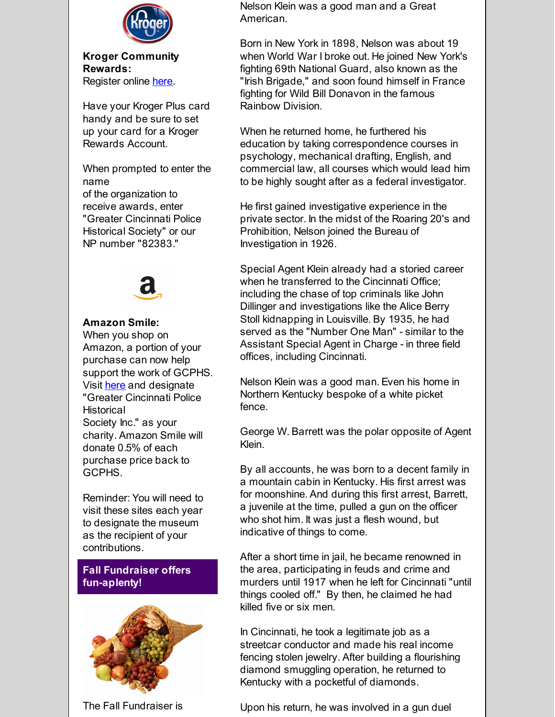

**Kroger Community Rewards:** Register online [here](http://r20.rs6.net/tn.jsp?f=001dhsuzfXnhUuaJsuPq2PzCJ1nMigztno31clDyYqMIhdJYBEXHUa3lR1mWbU-EQtqm9wNjxy9WQg7iYqz69S0NahkNzEPyusRNlC_0x5GDWMfRhc6XGvRx_yA_hY1F6Gsd-9e0bpoXh3sF0T6aQVGh3qPoYj_08fYZ1ejT4WWN1jrij1XyBcIpLsXbYNdlCHKty_Lu5vVv3mY7n8jc60AYC_LzFaWOGPp&c=&ch=).

Have your Kroger Plus card handy and be sure to set up your card for a Kroger Rewards Account.

When prompted to enter the name of the organization to receive awards, enter "Greater Cincinnati Police Historical Society" or our NP number "82383."



### **Amazon Smile:**

When you shop on Amazon, a portion of your purchase can now help support the work of GCPHS. Visit [here](http://r20.rs6.net/tn.jsp?f=001dhsuzfXnhUuaJsuPq2PzCJ1nMigztno31clDyYqMIhdJYBEXHUa3lR1mWbU-EQtqabmSIf651PSEQa90_n7NED7rz1XIa7W5q1GVQEQUW1ubi2wygUssVr1kdoctLLIrFn9Qo6gPKDCKLNxGN9bzjH6Dmp7NuScSJNRBJ0uY5Lo=&c=&ch=) and designate "Greater Cincinnati Police **Historical** Society Inc." as your charity. Amazon Smile will donate 0.5% of each purchase price back to GCPHS.

Reminder: You will need to visit these sites each year to designate the museum as the recipient of your contributions.

**Fall Fundraiser offers fun-aplenty!**



The Fall Fundraiser is

Nelson Klein was a good man and a Great American.

Born in New York in 1898, Nelson was about 19 when World War I broke out. He joined New York's fighting 69th National Guard, also known as the "Irish Brigade," and soon found himself in France fighting for Wild Bill Donavon in the famous Rainbow Division.

When he returned home, he furthered his education by taking correspondence courses in psychology, mechanical drafting, English, and commercial law, all courses which would lead him to be highly sought after as a federal investigator.

He first gained investigative experience in the private sector. In the midst of the Roaring 20's and Prohibition, Nelson joined the Bureau of Investigation in 1926.

Special Agent Klein already had a storied career when he transferred to the Cincinnati Office; including the chase of top criminals like John Dillinger and investigations like the Alice Berry Stoll kidnapping in Louisville. By 1935, he had served as the "Number One Man" - similar to the Assistant Special Agent in Charge - in three field offices, including Cincinnati.

Nelson Klein was a good man. Even his home in Northern Kentucky bespoke of a white picket fence.

George W. Barrett was the polar opposite of Agent Klein.

By all accounts, he was born to a decent family in a mountain cabin in Kentucky. His first arrest was for moonshine. And during this first arrest, Barrett, a juvenile at the time, pulled a gun on the officer who shot him. It was just a flesh wound, but indicative of things to come.

After a short time in jail, he became renowned in the area, participating in feuds and crime and murders until 1917 when he left for Cincinnati "until things cooled off." By then, he claimed he had killed five or six men.

In Cincinnati, he took a legitimate job as a streetcar conductor and made his real income fencing stolen jewelry. After building a flourishing diamond smuggling operation, he returned to Kentucky with a pocketful of diamonds.

Upon his return, he was involved in a gun duel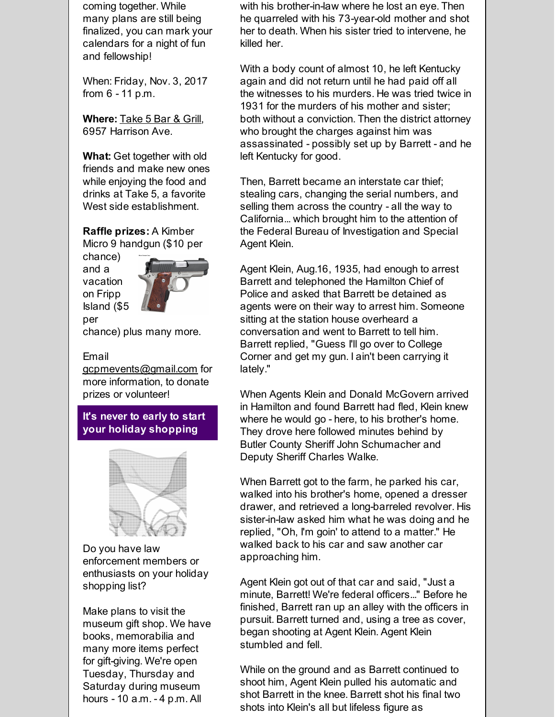coming together. While many plans are still being finalized, you can mark your calendars for a night of fun and fellowship!

When: Friday, Nov. 3, 2017 from 6 - 11 p.m.

**Where:** [Take](http://r20.rs6.net/tn.jsp?f=001dhsuzfXnhUuaJsuPq2PzCJ1nMigztno31clDyYqMIhdJYBEXHUa3lfyEhHi1oPQlEaBgj1GDJTidBJ8WE5yv2OuBsfrRsYtWfC0981SQigJI0Zbv04Npn5EsKdmPioFdGtLD2gaau0k-cuXmvJhShIJJxe-mTCJKCL96klbSRgiNgTJCxlkSpc2bjCAwprKN&c=&ch=) 5 Bar & Grill, 6957 Harrison Ave.

**What:** Get together with old friends and make new ones while enjoying the food and drinks at Take 5, a favorite West side establishment.

**Raffle prizes:** A Kimber Micro 9 handgun (\$10 per

chance) and a vacation on Fripp Island (\$5 per



chance) plus many more.

#### Email

[gcpmevents@gmail.com](mailto:gcpmevents@gmail.com) for more information, to donate prizes or volunteer!

**It's never to early to start your holiday shopping**



Do you have law enforcement members or enthusiasts on your holiday shopping list?

Make plans to visit the museum gift shop. We have books, memorabilia and many more items perfect for gift-giving. We're open Tuesday, Thursday and Saturday during museum hours - 10 a.m. - 4 p.m. All

with his brother-in-law where he lost an eye. Then he quarreled with his 73-year-old mother and shot her to death. When his sister tried to intervene, he killed her.

With a body count of almost 10, he left Kentucky again and did not return until he had paid off all the witnesses to his murders. He was tried twice in 1931 for the murders of his mother and sister; both without a conviction. Then the district attorney who brought the charges against him was assassinated - possibly set up by Barrett - and he left Kentucky for good.

Then, Barrett became an interstate car thief; stealing cars, changing the serial numbers, and selling them across the country - all the way to California... which brought him to the attention of the Federal Bureau of Investigation and Special Agent Klein.

Agent Klein, Aug.16, 1935, had enough to arrest Barrett and telephoned the Hamilton Chief of Police and asked that Barrett be detained as agents were on their way to arrest him. Someone sitting at the station house overheard a conversation and went to Barrett to tell him. Barrett replied, "Guess I'll go over to College Corner and get my gun. I ain't been carrying it lately."

When Agents Klein and Donald McGovern arrived in Hamilton and found Barrett had fled, Klein knew where he would go - here, to his brother's home. They drove here followed minutes behind by Butler County Sheriff John Schumacher and Deputy Sheriff Charles Walke.

When Barrett got to the farm, he parked his car, walked into his brother's home, opened a dresser drawer, and retrieved a long-barreled revolver. His sister-in-law asked him what he was doing and he replied, "Oh, I'm goin' to attend to a matter." He walked back to his car and saw another car approaching him.

Agent Klein got out of that car and said, "Just a minute, Barrett! We're federal officers..." Before he finished, Barrett ran up an alley with the officers in pursuit. Barrett turned and, using a tree as cover, began shooting at Agent Klein. Agent Klein stumbled and fell.

While on the ground and as Barrett continued to shoot him, Agent Klein pulled his automatic and shot Barrett in the knee. Barrett shot his final two shots into Klein's all but lifeless figure as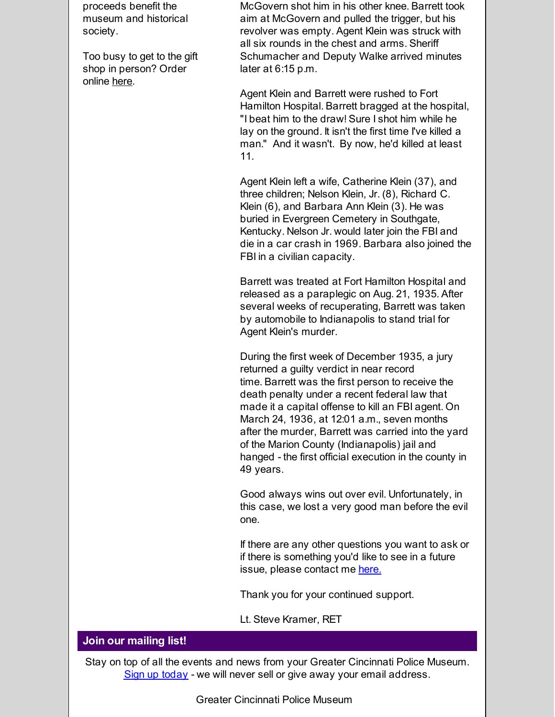proceeds benefit the museum and historical society.

Too busy to get to the gift shop in person? Order online [here](http://r20.rs6.net/tn.jsp?f=001dhsuzfXnhUuaJsuPq2PzCJ1nMigztno31clDyYqMIhdJYBEXHUa3lfyEhHi1oPQlbVgDw8yzFGefYL4XHjdepu9EAO2DJrcN3SOfOoKz4t_S-SmSa7ieV9EFqYM_SqFqs7g9vVHfQEipBUXnFKVt-mT5hDrqzj216vqQ2H8UFW6ceZIEJ0i92y8Sj2NvaU4L&c=&ch=).

McGovern shot him in his other knee. Barrett took aim at McGovern and pulled the trigger, but his revolver was empty. Agent Klein was struck with all six rounds in the chest and arms. Sheriff Schumacher and Deputy Walke arrived minutes later at 6:15 p.m.

Agent Klein and Barrett were rushed to Fort Hamilton Hospital. Barrett bragged at the hospital, "I beat him to the draw! Sure I shot him while he lay on the ground. It isn't the first time I've killed a man." And it wasn't. By now, he'd killed at least 11.

Agent Klein left a wife, Catherine Klein (37), and three children; Nelson Klein, Jr. (8), Richard C. Klein (6), and Barbara Ann Klein (3). He was buried in Evergreen Cemetery in Southgate, Kentucky. Nelson Jr. would later join the FBI and die in a car crash in 1969. Barbara also joined the FBI in a civilian capacity.

Barrett was treated at Fort Hamilton Hospital and released as a paraplegic on Aug. 21, 1935. After several weeks of recuperating, Barrett was taken by automobile to Indianapolis to stand trial for Agent Klein's murder.

During the first week of December 1935, a jury returned a guilty verdict in near record time. Barrett was the first person to receive the death penalty under a recent federal law that made it a capital offense to kill an FBI agent. On March 24, 1936, at 12:01 a.m., seven months after the murder, Barrett was carried into the yard of the Marion County (Indianapolis) jail and hanged - the first official execution in the county in 49 years.

Good always wins out over evil. Unfortunately, in this case, we lost a very good man before the evil one.

If there are any other questions you want to ask or if there is something you'd like to see in a future issue, please contact me [here.](mailto:skramer@reagan.com)

Thank you for your continued support.

Lt. Steve Kramer, RET

#### **Join our mailing list!**

Stay on top of all the events and news from your Greater Cincinnati Police Museum. Sign up [today](https://visitor.r20.constantcontact.com/manage/optin/ea?v=001y_Bo5goCBKQ_B8UWRAAFbqLHtDgSKRFE) - we will never sell or give away your email address.

Greater Cincinnati Police Museum